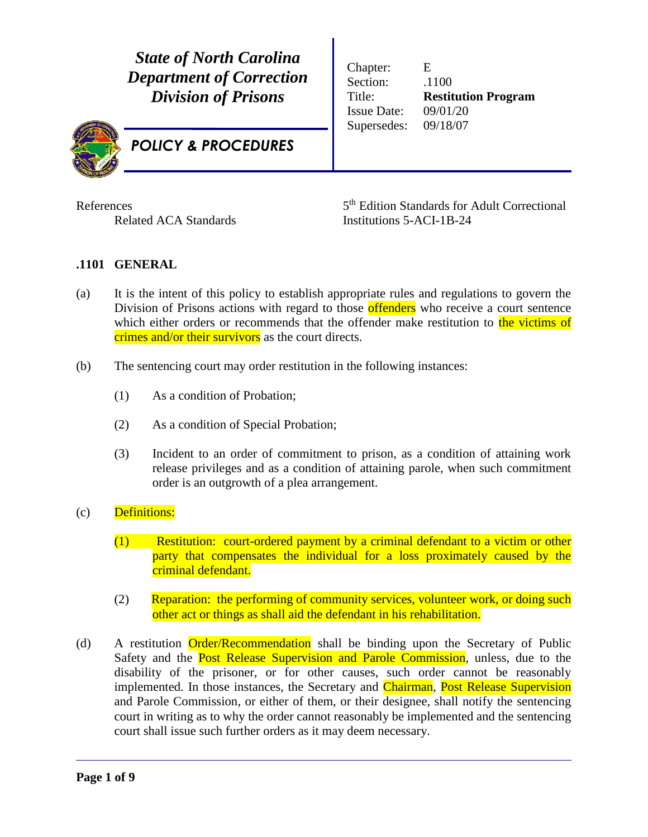*State of North Carolina Department of Correction Division of Prisons*



*POLICY & PROCEDURES*

Chapter: E Section:  $.1100$ Title: **Restitution Program** Issue Date: 09/01/20 Supersedes: 09/18/07

**References** 

5<sup>th</sup> Edition Standards for Adult Correctional Related ACA Standards Institutions 5-ACI-1B-24

## **.1101 GENERAL**

- (a) It is the intent of this policy to establish appropriate rules and regulations to govern the Division of Prisons actions with regard to those **offenders** who receive a court sentence which either orders or recommends that the offender make restitution to the victims of crimes and/or their survivors as the court directs.
- (b) The sentencing court may order restitution in the following instances:
	- (1) As a condition of Probation;
	- (2) As a condition of Special Probation;
	- (3) Incident to an order of commitment to prison, as a condition of attaining work release privileges and as a condition of attaining parole, when such commitment order is an outgrowth of a plea arrangement.
- (c) Definitions:
	- (1) Restitution: court-ordered payment by a criminal defendant to a victim or other party that compensates the individual for a loss proximately caused by the criminal defendant.
	- (2) Reparation: the performing of community services, volunteer work, or doing such other act or things as shall aid the defendant in his rehabilitation.
- (d) A restitution Order/Recommendation shall be binding upon the Secretary of Public Safety and the **Post Release Supervision and Parole Commission**, unless, due to the disability of the prisoner, or for other causes, such order cannot be reasonably implemented. In those instances, the Secretary and Chairman, Post Release Supervision and Parole Commission, or either of them, or their designee, shall notify the sentencing court in writing as to why the order cannot reasonably be implemented and the sentencing court shall issue such further orders as it may deem necessary.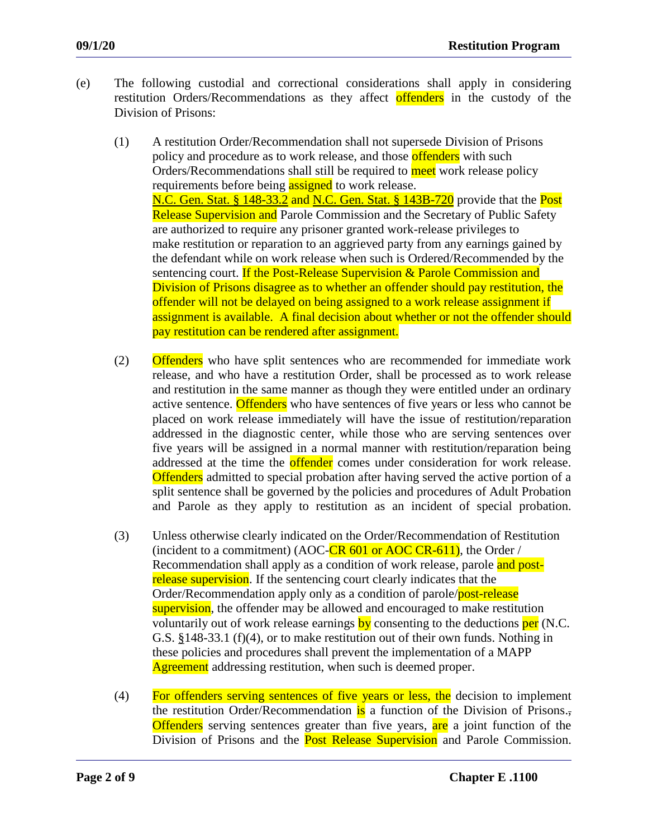- (e) The following custodial and correctional considerations shall apply in considering restitution Orders/Recommendations as they affect offenders in the custody of the Division of Prisons:
	- (1) A restitution Order/Recommendation shall not supersede Division of Prisons policy and procedure as to work release, and those **offenders** with such Orders/Recommendations shall still be required to meet work release policy requirements before being **assigned** to work release. N.C. Gen. Stat. § 148-33.2 and N.C. Gen. Stat. § 143B-720 provide that the Post Release Supervision and Parole Commission and the Secretary of Public Safety are authorized to require any prisoner granted work-release privileges to make restitution or reparation to an aggrieved party from any earnings gained by the defendant while on work release when such is Ordered/Recommended by the sentencing court. If the Post-Release Supervision & Parole Commission and Division of Prisons disagree as to whether an offender should pay restitution, the offender will not be delayed on being assigned to a work release assignment if assignment is available. A final decision about whether or not the offender should pay restitution can be rendered after assignment.
	- (2) Offenders who have split sentences who are recommended for immediate work release, and who have a restitution Order, shall be processed as to work release and restitution in the same manner as though they were entitled under an ordinary active sentence. Offenders who have sentences of five years or less who cannot be placed on work release immediately will have the issue of restitution/reparation addressed in the diagnostic center, while those who are serving sentences over five years will be assigned in a normal manner with restitution/reparation being addressed at the time the **offender** comes under consideration for work release. Offenders admitted to special probation after having served the active portion of a split sentence shall be governed by the policies and procedures of Adult Probation and Parole as they apply to restitution as an incident of special probation.
	- (3) Unless otherwise clearly indicated on the Order/Recommendation of Restitution (incident to a commitment) (AOC-CR  $601$  or AOC CR-611), the Order / Recommendation shall apply as a condition of work release, parole and postrelease supervision. If the sentencing court clearly indicates that the Order/Recommendation apply only as a condition of parole/post-release supervision, the offender may be allowed and encouraged to make restitution voluntarily out of work release earnings by consenting to the deductions per (N.C. G.S. §148-33.1 (f)(4), or to make restitution out of their own funds. Nothing in these policies and procedures shall prevent the implementation of a MAPP Agreement addressing restitution, when such is deemed proper.
	- (4) For offenders serving sentences of five years or less, the decision to implement the restitution Order/Recommendation is a function of the Division of Prisons. **Offenders** serving sentences greater than five years, are a joint function of the Division of Prisons and the **Post Release Supervision** and Parole Commission.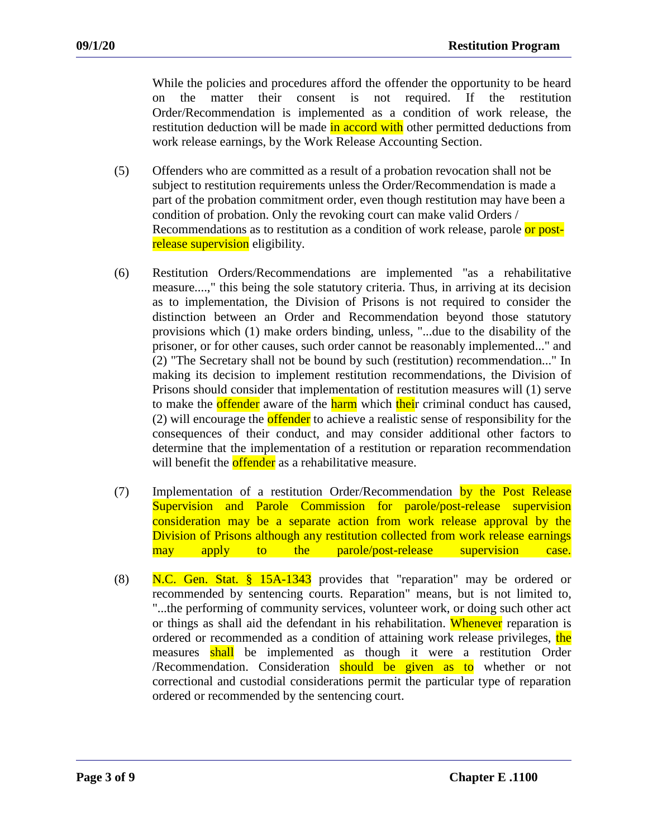While the policies and procedures afford the offender the opportunity to be heard on the matter their consent is not required. If the restitution Order/Recommendation is implemented as a condition of work release, the restitution deduction will be made in accord with other permitted deductions from work release earnings, by the Work Release Accounting Section.

- (5) Offenders who are committed as a result of a probation revocation shall not be subject to restitution requirements unless the Order/Recommendation is made a part of the probation commitment order, even though restitution may have been a condition of probation. Only the revoking court can make valid Orders / Recommendations as to restitution as a condition of work release, parole or postrelease supervision eligibility.
- (6) Restitution Orders/Recommendations are implemented "as a rehabilitative measure....," this being the sole statutory criteria. Thus, in arriving at its decision as to implementation, the Division of Prisons is not required to consider the distinction between an Order and Recommendation beyond those statutory provisions which (1) make orders binding, unless, "...due to the disability of the prisoner, or for other causes, such order cannot be reasonably implemented..." and (2) "The Secretary shall not be bound by such (restitution) recommendation..." In making its decision to implement restitution recommendations, the Division of Prisons should consider that implementation of restitution measures will (1) serve to make the **offender** aware of the **harm** which their criminal conduct has caused, (2) will encourage the **offender** to achieve a realistic sense of responsibility for the consequences of their conduct, and may consider additional other factors to determine that the implementation of a restitution or reparation recommendation will benefit the **offender** as a rehabilitative measure.
- (7) Implementation of a restitution Order/Recommendation by the Post Release Supervision and Parole Commission for parole/post-release supervision consideration may be a separate action from work release approval by the Division of Prisons although any restitution collected from work release earnings may apply to the parole/post-release supervision case.
- (8) N.C. Gen. Stat.  $\frac{15A-1343}{15A-1343}$  provides that "reparation" may be ordered or recommended by sentencing courts. Reparation" means, but is not limited to, "...the performing of community services, volunteer work, or doing such other act or things as shall aid the defendant in his rehabilitation. Whenever reparation is ordered or recommended as a condition of attaining work release privileges, the measures shall be implemented as though it were a restitution Order Recommendation. Consideration should be given as to whether or not correctional and custodial considerations permit the particular type of reparation ordered or recommended by the sentencing court.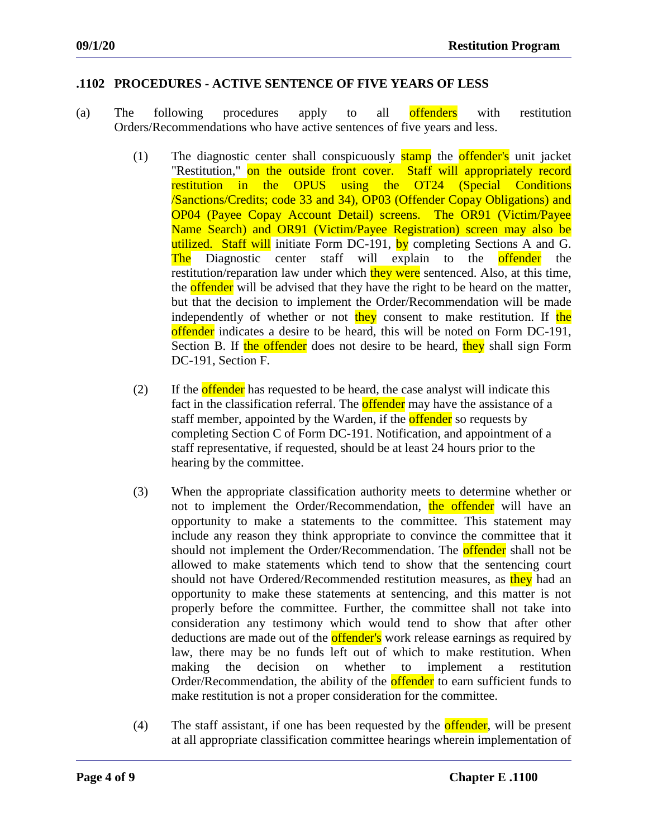## **.1102 PROCEDURES - ACTIVE SENTENCE OF FIVE YEARS OF LESS**

- (a) The following procedures apply to all offenders with restitution Orders/Recommendations who have active sentences of five years and less.
	- (1) The diagnostic center shall conspicuously stamp the offender's unit jacket "Restitution," on the outside front cover. Staff will appropriately record restitution in the OPUS using the OT24 (Special Conditions /Sanctions/Credits; code 33 and 34), OP03 (Offender Copay Obligations) and OP04 (Payee Copay Account Detail) screens. The OR91 (Victim/Payee Name Search) and OR91 (Victim/Payee Registration) screen may also be utilized. Staff will initiate Form DC-191, by completing Sections A and G. The Diagnostic center staff will explain to the **offender** the restitution/reparation law under which they were sentenced. Also, at this time, the **offender** will be advised that they have the right to be heard on the matter, but that the decision to implement the Order/Recommendation will be made independently of whether or not they consent to make restitution. If the offender indicates a desire to be heard, this will be noted on Form DC-191, Section B. If the offender does not desire to be heard, they shall sign Form DC-191, Section F.
	- (2) If the **offender** has requested to be heard, the case analyst will indicate this fact in the classification referral. The **offender** may have the assistance of a staff member, appointed by the Warden, if the **offender** so requests by completing Section C of Form DC-191. Notification, and appointment of a staff representative, if requested, should be at least 24 hours prior to the hearing by the committee.
	- (3) When the appropriate classification authority meets to determine whether or not to implement the Order/Recommendation, the offender will have an opportunity to make a statements to the committee. This statement may include any reason they think appropriate to convince the committee that it should not implement the Order/Recommendation. The **offender** shall not be allowed to make statements which tend to show that the sentencing court should not have Ordered/Recommended restitution measures, as they had an opportunity to make these statements at sentencing, and this matter is not properly before the committee. Further, the committee shall not take into consideration any testimony which would tend to show that after other deductions are made out of the **offender's** work release earnings as required by law, there may be no funds left out of which to make restitution. When making the decision on whether to implement a restitution Order/Recommendation, the ability of the **offender** to earn sufficient funds to make restitution is not a proper consideration for the committee.
	- (4) The staff assistant, if one has been requested by the **offender**, will be present at all appropriate classification committee hearings wherein implementation of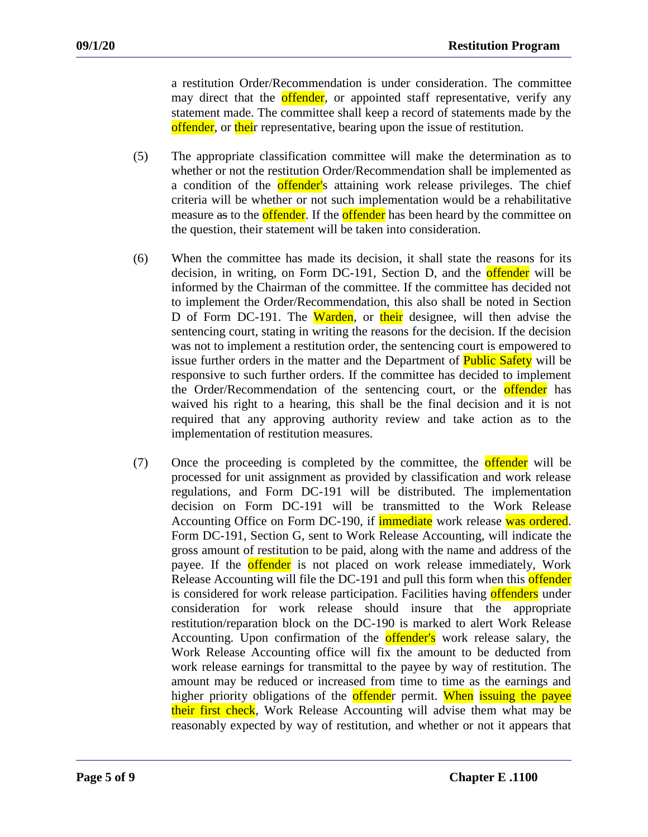a restitution Order/Recommendation is under consideration. The committee may direct that the offender, or appointed staff representative, verify any statement made. The committee shall keep a record of statements made by the offender, or their representative, bearing upon the issue of restitution.

- (5) The appropriate classification committee will make the determination as to whether or not the restitution Order/Recommendation shall be implemented as a condition of the **offender'**s attaining work release privileges. The chief criteria will be whether or not such implementation would be a rehabilitative measure as to the **offender**. If the **offender** has been heard by the committee on the question, their statement will be taken into consideration.
- (6) When the committee has made its decision, it shall state the reasons for its decision, in writing, on Form DC-191, Section D, and the **offender** will be informed by the Chairman of the committee. If the committee has decided not to implement the Order/Recommendation, this also shall be noted in Section D of Form DC-191. The Warden, or their designee, will then advise the sentencing court, stating in writing the reasons for the decision. If the decision was not to implement a restitution order, the sentencing court is empowered to issue further orders in the matter and the Department of **Public Safety** will be responsive to such further orders. If the committee has decided to implement the Order/Recommendation of the sentencing court, or the **offender** has waived his right to a hearing, this shall be the final decision and it is not required that any approving authority review and take action as to the implementation of restitution measures.
- (7) Once the proceeding is completed by the committee, the **offender** will be processed for unit assignment as provided by classification and work release regulations, and Form DC-191 will be distributed. The implementation decision on Form DC-191 will be transmitted to the Work Release Accounting Office on Form DC-190, if **immediate** work release was ordered. Form DC-191, Section G, sent to Work Release Accounting, will indicate the gross amount of restitution to be paid, along with the name and address of the payee. If the **offender** is not placed on work release immediately, Work Release Accounting will file the DC-191 and pull this form when this offender is considered for work release participation. Facilities having **offenders** under consideration for work release should insure that the appropriate restitution/reparation block on the DC-190 is marked to alert Work Release Accounting. Upon confirmation of the offender's work release salary, the Work Release Accounting office will fix the amount to be deducted from work release earnings for transmittal to the payee by way of restitution. The amount may be reduced or increased from time to time as the earnings and higher priority obligations of the **offende**r permit. When issuing the payee their first check, Work Release Accounting will advise them what may be reasonably expected by way of restitution, and whether or not it appears that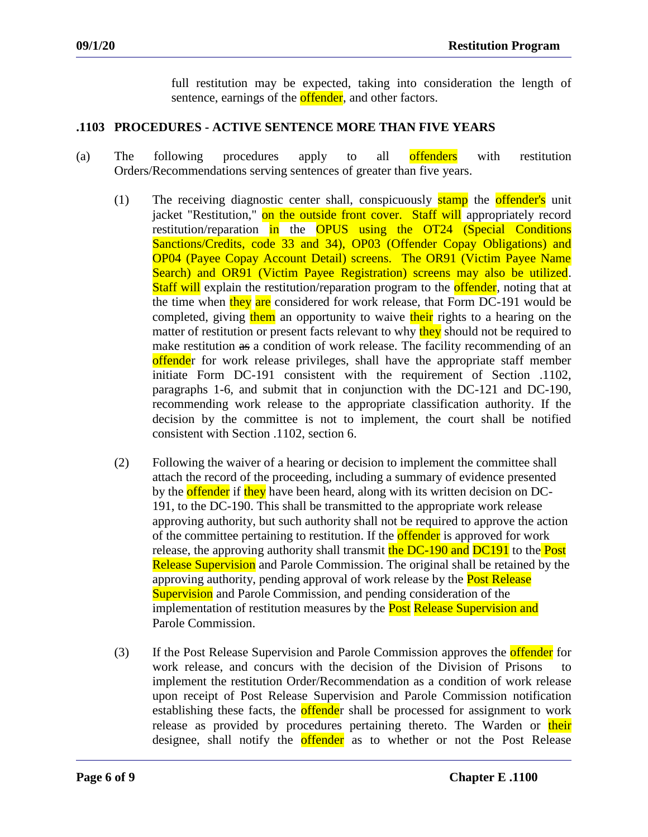full restitution may be expected, taking into consideration the length of sentence, earnings of the **offender**, and other factors.

## **.1103 PROCEDURES - ACTIVE SENTENCE MORE THAN FIVE YEARS**

- (a) The following procedures apply to all offenders with restitution Orders/Recommendations serving sentences of greater than five years.
	- (1) The receiving diagnostic center shall, conspicuously stamp the offender's unit jacket "Restitution," on the outside front cover. Staff will appropriately record restitution/reparation in the OPUS using the OT24 (Special Conditions Sanctions/Credits, code 33 and 34), OP03 (Offender Copay Obligations) and OP04 (Payee Copay Account Detail) screens. The OR91 (Victim Payee Name Search) and OR91 (Victim Payee Registration) screens may also be utilized. **Staff will** explain the restitution/reparation program to the **offender**, noting that at the time when they are considered for work release, that Form DC-191 would be completed, giving them an opportunity to waive their rights to a hearing on the matter of restitution or present facts relevant to why they should not be required to make restitution as a condition of work release. The facility recommending of an offender for work release privileges, shall have the appropriate staff member initiate Form DC-191 consistent with the requirement of Section .1102, paragraphs 1-6, and submit that in conjunction with the DC-121 and DC-190, recommending work release to the appropriate classification authority. If the decision by the committee is not to implement, the court shall be notified consistent with Section .1102, section 6.
	- (2) Following the waiver of a hearing or decision to implement the committee shall attach the record of the proceeding, including a summary of evidence presented by the **offender** if they have been heard, along with its written decision on DC-191, to the DC-190. This shall be transmitted to the appropriate work release approving authority, but such authority shall not be required to approve the action of the committee pertaining to restitution. If the **offender** is approved for work release, the approving authority shall transmit the DC-190 and DC191 to the Post Release Supervision and Parole Commission. The original shall be retained by the approving authority, pending approval of work release by the **Post Release Supervision** and Parole Commission, and pending consideration of the implementation of restitution measures by the **Post Release Supervision and** Parole Commission.
	- (3) If the Post Release Supervision and Parole Commission approves the **offender** for work release, and concurs with the decision of the Division of Prisons to implement the restitution Order/Recommendation as a condition of work release upon receipt of Post Release Supervision and Parole Commission notification establishing these facts, the **offende**r shall be processed for assignment to work release as provided by procedures pertaining thereto. The Warden or their designee, shall notify the **offender** as to whether or not the Post Release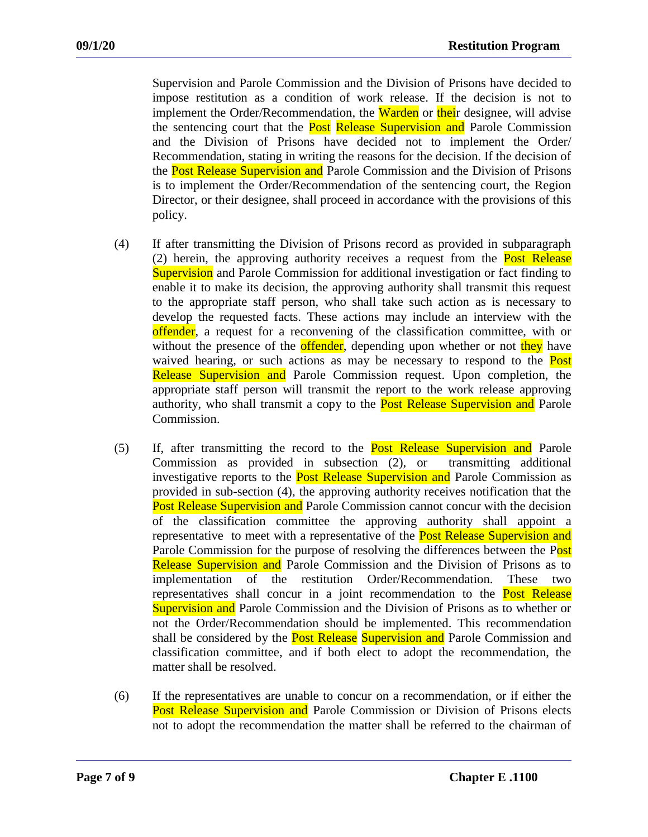Supervision and Parole Commission and the Division of Prisons have decided to impose restitution as a condition of work release. If the decision is not to implement the Order/Recommendation, the **Warden** or their designee, will advise the sentencing court that the **Post Release Supervision and** Parole Commission and the Division of Prisons have decided not to implement the Order/ Recommendation, stating in writing the reasons for the decision. If the decision of the Post Release Supervision and Parole Commission and the Division of Prisons is to implement the Order/Recommendation of the sentencing court, the Region Director, or their designee, shall proceed in accordance with the provisions of this policy.

- (4) If after transmitting the Division of Prisons record as provided in subparagraph (2) herein, the approving authority receives a request from the Post Release **Supervision** and Parole Commission for additional investigation or fact finding to enable it to make its decision, the approving authority shall transmit this request to the appropriate staff person, who shall take such action as is necessary to develop the requested facts. These actions may include an interview with the offender, a request for a reconvening of the classification committee, with or without the presence of the **offender**, depending upon whether or not they have waived hearing, or such actions as may be necessary to respond to the **Post** Release Supervision and Parole Commission request. Upon completion, the appropriate staff person will transmit the report to the work release approving authority, who shall transmit a copy to the **Post Release Supervision and** Parole Commission.
- (5) If, after transmitting the record to the Post Release Supervision and Parole Commission as provided in subsection (2), or transmitting additional investigative reports to the **Post Release Supervision and** Parole Commission as provided in sub-section (4), the approving authority receives notification that the Post Release Supervision and Parole Commission cannot concur with the decision of the classification committee the approving authority shall appoint a representative to meet with a representative of the **Post Release Supervision and** Parole Commission for the purpose of resolving the differences between the Post Release Supervision and Parole Commission and the Division of Prisons as to implementation of the restitution Order/Recommendation. These two representatives shall concur in a joint recommendation to the **Post Release** Supervision and Parole Commission and the Division of Prisons as to whether or not the Order/Recommendation should be implemented. This recommendation shall be considered by the **Post Release Supervision and** Parole Commission and classification committee, and if both elect to adopt the recommendation, the matter shall be resolved.
- (6) If the representatives are unable to concur on a recommendation, or if either the Post Release Supervision and Parole Commission or Division of Prisons elects not to adopt the recommendation the matter shall be referred to the chairman of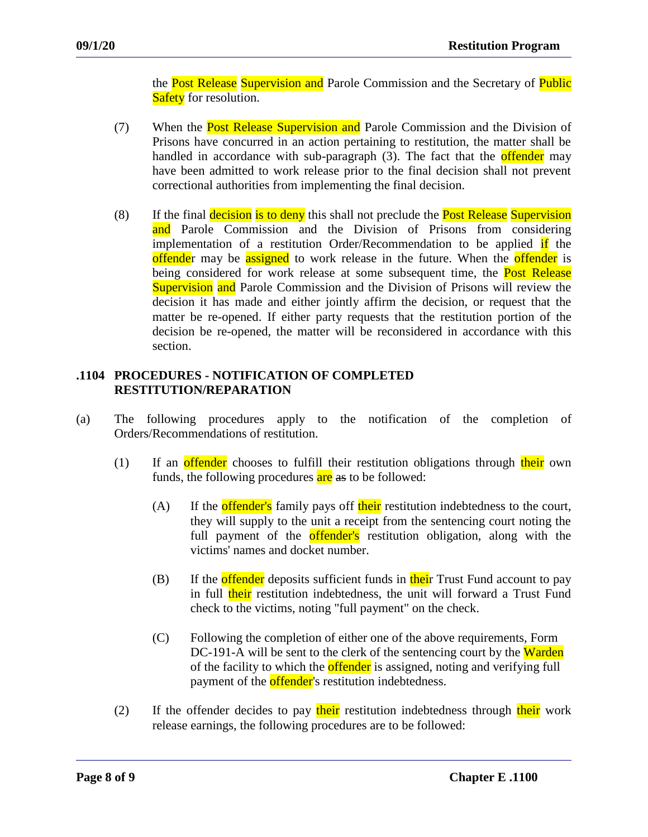the Post Release Supervision and Parole Commission and the Secretary of Public **Safety** for resolution.

- (7) When the **Post Release Supervision and** Parole Commission and the Division of Prisons have concurred in an action pertaining to restitution, the matter shall be handled in accordance with sub-paragraph (3). The fact that the **offender** may have been admitted to work release prior to the final decision shall not prevent correctional authorities from implementing the final decision.
- (8) If the final decision is to deny this shall not preclude the **Post Release** Supervision and Parole Commission and the Division of Prisons from considering implementation of a restitution Order/Recommendation to be applied if the offender may be assigned to work release in the future. When the offender is being considered for work release at some subsequent time, the **Post Release** Supervision and Parole Commission and the Division of Prisons will review the decision it has made and either jointly affirm the decision, or request that the matter be re-opened. If either party requests that the restitution portion of the decision be re-opened, the matter will be reconsidered in accordance with this section.

## **.1104 PROCEDURES - NOTIFICATION OF COMPLETED RESTITUTION/REPARATION**

- (a) The following procedures apply to the notification of the completion of Orders/Recommendations of restitution.
	- (1) If an **offender** chooses to fulfill their restitution obligations through their own funds, the following procedures are as to be followed:
		- $(A)$  If the **offender's** family pays off their restitution indebtedness to the court, they will supply to the unit a receipt from the sentencing court noting the full payment of the **offender's** restitution obligation, along with the victims' names and docket number.
		- (B) If the offender deposits sufficient funds in their Trust Fund account to pay in full their restitution indebtedness, the unit will forward a Trust Fund check to the victims, noting "full payment" on the check.
		- (C) Following the completion of either one of the above requirements, Form DC-191-A will be sent to the clerk of the sentencing court by the Warden of the facility to which the **offender** is assigned, noting and verifying full payment of the **offender**'s restitution indebtedness.
	- (2) If the offender decides to pay their restitution indebtedness through their work release earnings, the following procedures are to be followed: